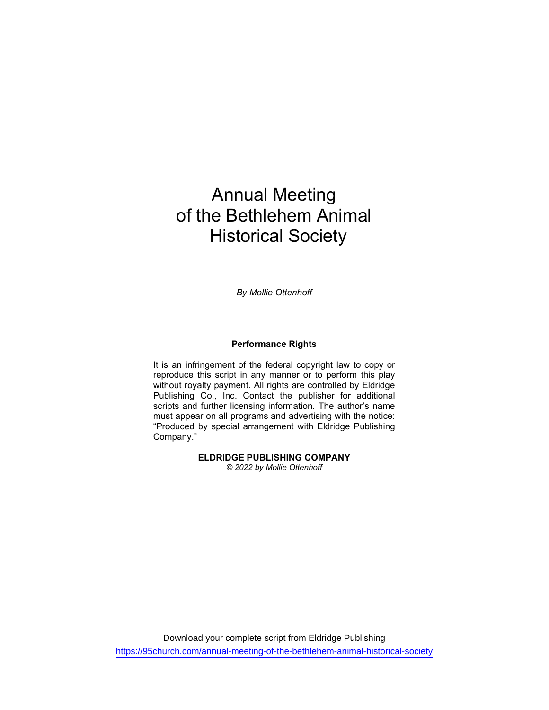# Annual Meeting of the Bethlehem Animal Historical Society

By Mollie Ottenhoff

#### Performance Rights

It is an infringement of the federal copyright law to copy or reproduce this script in any manner or to perform this play without royalty payment. All rights are controlled by Eldridge Publishing Co., Inc. Contact the publisher for additional scripts and further licensing information. The author's name must appear on all programs and advertising with the notice: "Produced by special arrangement with Eldridge Publishing Company."

> ELDRIDGE PUBLISHING COMPANY © 2022 by Mollie Ottenhoff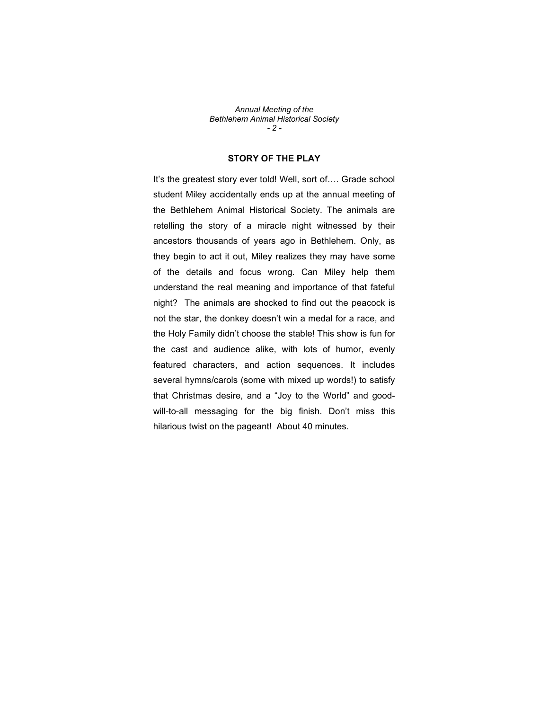Annual Meeting of the Bethlehem Animal Historical Society - 2 -

### STORY OF THE PLAY

It's the greatest story ever told! Well, sort of…. Grade school student Miley accidentally ends up at the annual meeting of the Bethlehem Animal Historical Society. The animals are retelling the story of a miracle night witnessed by their ancestors thousands of years ago in Bethlehem. Only, as they begin to act it out, Miley realizes they may have some of the details and focus wrong. Can Miley help them understand the real meaning and importance of that fateful night? The animals are shocked to find out the peacock is not the star, the donkey doesn't win a medal for a race, and the Holy Family didn't choose the stable! This show is fun for the cast and audience alike, with lots of humor, evenly featured characters, and action sequences. It includes several hymns/carols (some with mixed up words!) to satisfy that Christmas desire, and a "Joy to the World" and goodwill-to-all messaging for the big finish. Don't miss this hilarious twist on the pageant! About 40 minutes.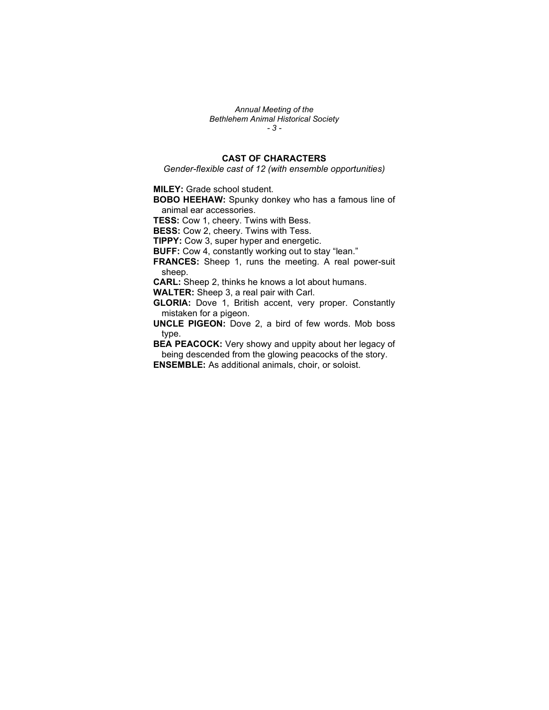Annual Meeting of the Bethlehem Animal Historical Society - 3 -

## CAST OF CHARACTERS

Gender-flexible cast of 12 (with ensemble opportunities)

MILEY: Grade school student.

BOBO HEEHAW: Spunky donkey who has a famous line of animal ear accessories.

TESS: Cow 1, cheery. Twins with Bess.

**BESS:** Cow 2, cheery. Twins with Tess.

TIPPY: Cow 3, super hyper and energetic.

BUFF: Cow 4, constantly working out to stay "lean."

FRANCES: Sheep 1, runs the meeting. A real power-suit sheep.

CARL: Sheep 2, thinks he knows a lot about humans.

WALTER: Sheep 3, a real pair with Carl.

GLORIA: Dove 1, British accent, very proper. Constantly mistaken for a pigeon.

UNCLE PIGEON: Dove 2, a bird of few words. Mob boss type.

BEA PEACOCK: Very showy and uppity about her legacy of being descended from the glowing peacocks of the story. ENSEMBLE: As additional animals, choir, or soloist.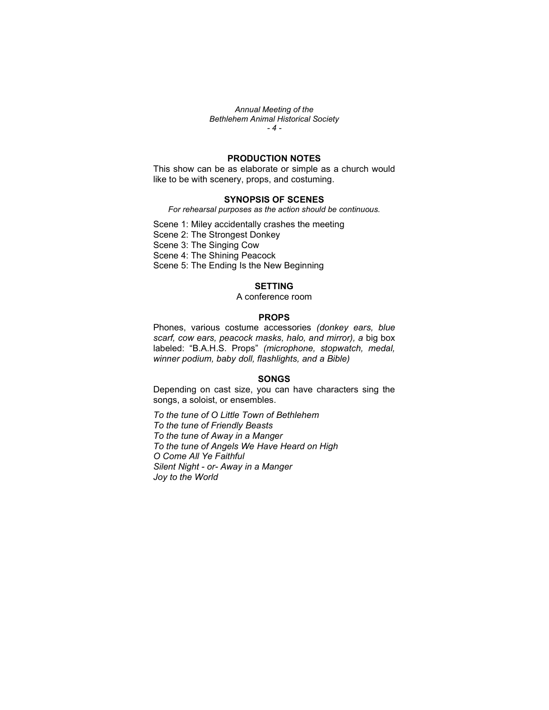Annual Meeting of the Bethlehem Animal Historical Society - 4 -

#### PRODUCTION NOTES

This show can be as elaborate or simple as a church would like to be with scenery, props, and costuming.

#### SYNOPSIS OF SCENES

For rehearsal purposes as the action should be continuous.

Scene 1: Miley accidentally crashes the meeting

Scene 2: The Strongest Donkey

Scene 3: The Singing Cow

Scene 4: The Shining Peacock Scene 5: The Ending Is the New Beginning

#### SETTING

A conference room

#### PROPS

Phones, various costume accessories (donkey ears, blue scarf, cow ears, peacock masks, halo, and mirror), a big box labeled: "B.A.H.S. Props" (microphone, stopwatch, medal, winner podium, baby doll, flashlights, and a Bible)

#### **SONGS**

Depending on cast size, you can have characters sing the songs, a soloist, or ensembles.

To the tune of O Little Town of Bethlehem To the tune of Friendly Beasts To the tune of Away in a Manger To the tune of Angels We Have Heard on High O Come All Ye Faithful Silent Night - or- Away in a Manger Joy to the World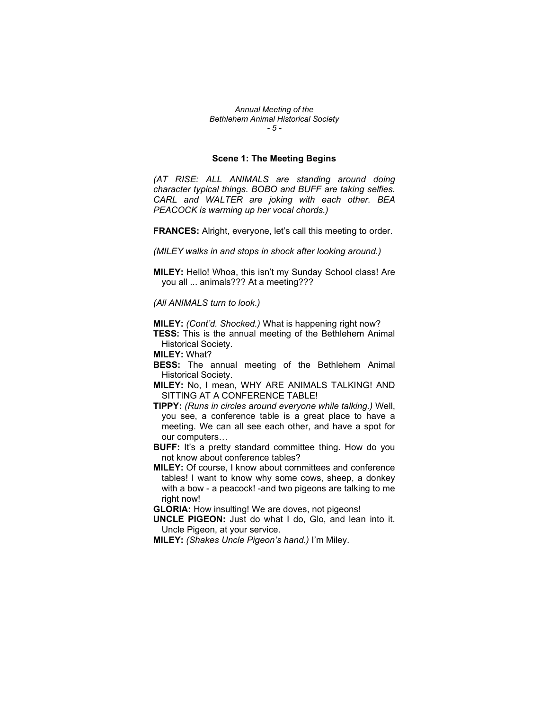Annual Meeting of the Bethlehem Animal Historical Society - 5 -

#### Scene 1: The Meeting Begins

(AT RISE: ALL ANIMALS are standing around doing character typical things. BOBO and BUFF are taking selfies. CARL and WALTER are joking with each other. BEA PEACOCK is warming up her vocal chords.)

FRANCES: Alright, everyone, let's call this meeting to order.

(MILEY walks in and stops in shock after looking around.)

MILEY: Hello! Whoa, this isn't my Sunday School class! Are you all ... animals??? At a meeting???

(All ANIMALS turn to look.)

MILEY: (Cont'd. Shocked.) What is happening right now?

**TESS:** This is the annual meeting of the Bethlehem Animal Historical Society.

MILEY: What?

**BESS:** The annual meeting of the Bethlehem Animal Historical Society.

MILEY: No, I mean, WHY ARE ANIMALS TALKING! AND SITTING AT A CONFERENCE TABLE!

TIPPY: (Runs in circles around everyone while talking.) Well, you see, a conference table is a great place to have a meeting. We can all see each other, and have a spot for our computers…

**BUFF:** It's a pretty standard committee thing. How do you not know about conference tables?

MILEY: Of course, I know about committees and conference tables! I want to know why some cows, sheep, a donkey with a bow - a peacock! -and two pigeons are talking to me right now!

GLORIA: How insulting! We are doves, not pigeons!

UNCLE PIGEON: Just do what I do, Glo, and lean into it. Uncle Pigeon, at your service.

MILEY: (Shakes Uncle Pigeon's hand.) I'm Miley.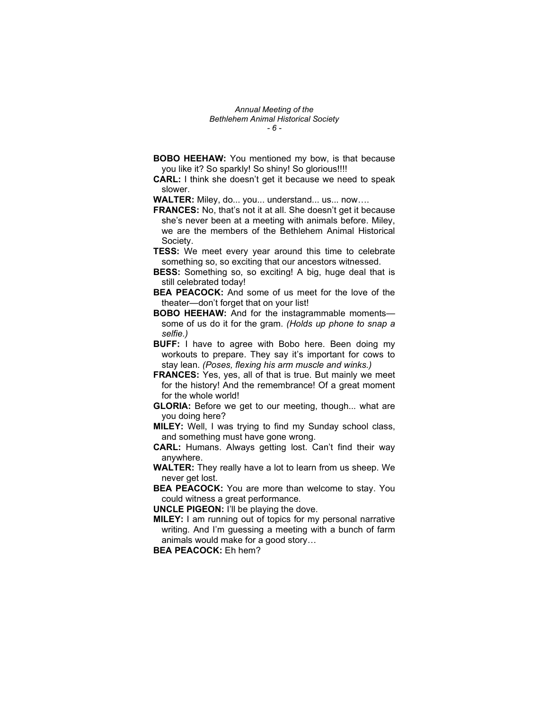Annual Meeting of the Bethlehem Animal Historical Society - 6 -

- **BOBO HEEHAW:** You mentioned my bow, is that because you like it? So sparkly! So shiny! So glorious!!!!
- CARL: I think she doesn't get it because we need to speak slower.

WALTER: Miley, do... you... understand... us... now....

- FRANCES: No, that's not it at all. She doesn't get it because she's never been at a meeting with animals before. Miley, we are the members of the Bethlehem Animal Historical Society.
- TESS: We meet every year around this time to celebrate something so, so exciting that our ancestors witnessed.
- **BESS:** Something so, so exciting! A big, huge deal that is still celebrated today!
- BEA PEACOCK: And some of us meet for the love of the theater—don't forget that on your list!
- BOBO HEEHAW: And for the instagrammable moments some of us do it for the gram. (Holds up phone to snap a selfie.)
- **BUFF:** I have to agree with Bobo here. Been doing my workouts to prepare. They say it's important for cows to stay lean. (Poses, flexing his arm muscle and winks.)
- FRANCES: Yes, yes, all of that is true. But mainly we meet for the history! And the remembrance! Of a great moment for the whole world!
- GLORIA: Before we get to our meeting, though... what are you doing here?
- MILEY: Well, I was trying to find my Sunday school class, and something must have gone wrong.
- CARL: Humans. Always getting lost. Can't find their way anywhere.
- WALTER: They really have a lot to learn from us sheep. We never get lost.
- BEA PEACOCK: You are more than welcome to stay. You could witness a great performance.

UNCLE PIGEON: I'll be playing the dove.

MILEY: I am running out of topics for my personal narrative writing. And I'm guessing a meeting with a bunch of farm animals would make for a good story…

BEA PEACOCK: Eh hem?